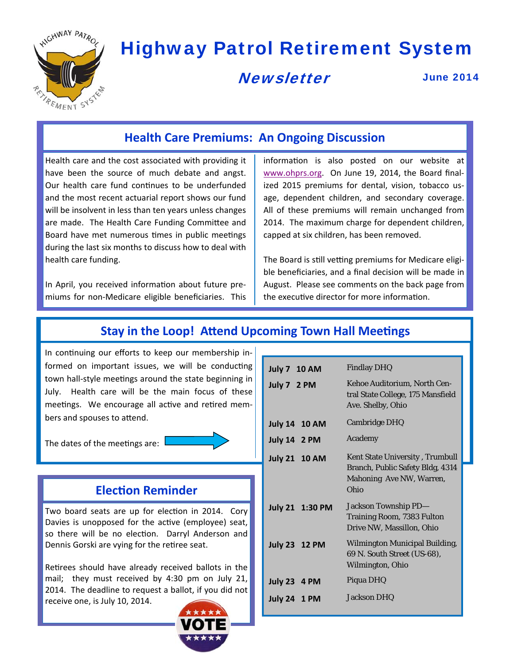

# Highway Patrol Retirement System

# **Newsletter**

June 2014

## **Health Care Premiums: An Ongoing Discussion**

Health care and the cost associated with providing it have been the source of much debate and angst. Our health care fund continues to be underfunded and the most recent actuarial report shows our fund will be insolvent in less than ten years unless changes are made. The Health Care Funding Committee and Board have met numerous times in public meetings during the last six months to discuss how to deal with health care funding.

In April, you received information about future premiums for non-Medicare eligible beneficiaries. This information is also posted on our website at www.ohprs.org. On June 19, 2014, the Board finalized 2015 premiums for dental, vision, tobacco usage, dependent children, and secondary coverage. All of these premiums will remain unchanged from 2014. The maximum charge for dependent children, capped at six children, has been removed.

The Board is still vetting premiums for Medicare eligible beneficiaries, and a final decision will be made in August. Please see comments on the back page from the executive director for more information.

## **Stay** in the Loop! Attend Upcoming Town Hall Meetings

In continuing our efforts to keep our membership informed on important issues, we will be conducting town hall-style meetings around the state beginning in July. Health care will be the main focus of these meetings. We encourage all active and retired members and spouses to attend.

The dates of the meetings are:



### **ElecƟon Reminder**

Two board seats are up for election in 2014. Cory Davies is unopposed for the active (employee) seat, so there will be no election. Darryl Anderson and Dennis Gorski are vying for the retiree seat.

Retirees should have already received ballots in the mail; they must received by 4:30 pm on July 21, 2014. The deadline to request a ballot, if you did not receive one, is July 10, 2014.



| <b>July 7 10 AM</b>  | <b>Findlay DHQ</b>                                                                                      |  |  |
|----------------------|---------------------------------------------------------------------------------------------------------|--|--|
| July 7 2 PM          | Kehoe Auditorium, North Cen-<br>tral State College, 175 Mansfield<br>Ave. Shelby, Ohio                  |  |  |
| <b>July 14 10 AM</b> | <b>Cambridge DHQ</b>                                                                                    |  |  |
| <b>July 14 2 PM</b>  | Academy                                                                                                 |  |  |
| <b>July 21 10 AM</b> | Kent State University, Trumbull<br>Branch, Public Safety Bldg, 4314<br>Mahoning Ave NW, Warren,<br>Ohio |  |  |
| July 21 1:30 PM      | Jackson Township PD-<br>Training Room, 7383 Fulton<br>Drive NW, Massillon, Ohio                         |  |  |
| <b>July 23 12 PM</b> | <b>Wilmington Municipal Building,</b><br>69 N. South Street (US-68),<br>Wilmington, Ohio                |  |  |
| <b>July 23 4 PM</b>  | Piqua DHQ                                                                                               |  |  |
| <b>July 24 1 PM</b>  | <b>Jackson DHQ</b>                                                                                      |  |  |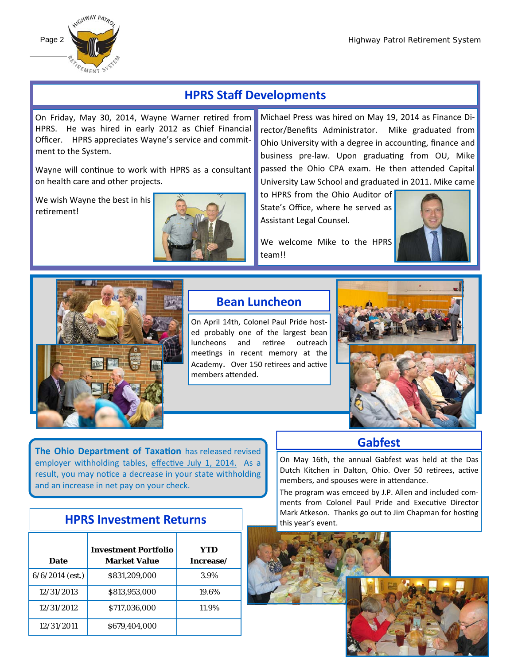

# **HPRS Staff Developments**

On Friday, May 30, 2014, Wayne Warner retired from HPRS. He was hired in early 2012 as Chief Financial Officer. HPRS appreciates Wayne's service and commitment to the System.

Wayne will continue to work with HPRS as a consultant on health care and other projects.

We wish Wayne the best in his retirement!



Michael Press was hired on May 19, 2014 as Finance Director/Benefits Administrator. Mike graduated from Ohio University with a degree in accounting, finance and business pre-law. Upon graduating from OU, Mike passed the Ohio CPA exam. He then attended Capital University Law School and graduated in 2011. Mike came

to HPRS from the Ohio Auditor of State's Office, where he served as Assistant Legal Counsel.

We welcome Mike to the HPRS team!!





## **Bean Luncheon**

On April 14th, Colonel Paul Pride hosted probably one of the largest bean luncheons and retiree outreach meetings in recent memory at the Academy. Over 150 retirees and active members attended.



**The Ohio Department of TaxaƟon** has released revised employer withholding tables, effective July 1, 2014. As a result, you may notice a decrease in your state withholding and an increase in net pay on your check.

#### **Date Investment Portfolio Market Value YTD Increase/**  $6/6/2014$  (est.)  $8831,209,000$  3.9% 12/31/2013 | \$813,953,000 | 19.6% 12/31/2012 \$717,036,000 11.9% 12/31/2011 \$679,404,000

# **HPRS Investment Returns**



On May 16th, the annual Gabfest was held at the Das Dutch Kitchen in Dalton, Ohio. Over 50 retirees, active

**Gabfest**

The program was emceed by J.P. Allen and included comments from Colonel Paul Pride and Executive Director Mark Atkeson. Thanks go out to Jim Chapman for hosting

members, and spouses were in attendance.

this year's event.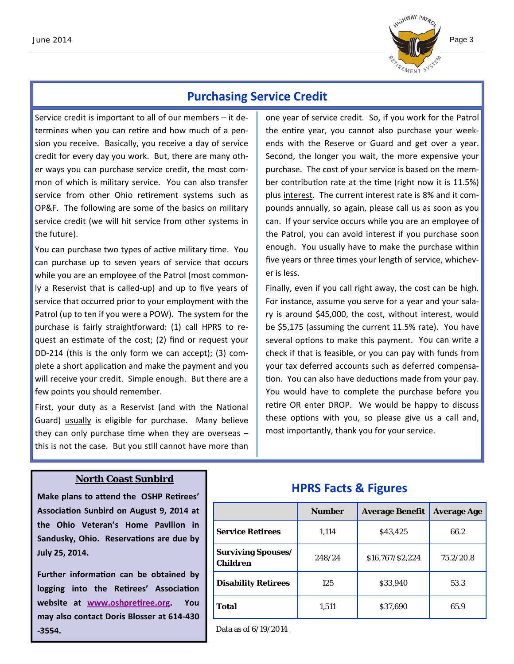

### **Purchasing Service Credit**

Service credit is important to all of our members – it determines when you can retire and how much of a pension you receive. Basically, you receive a day of service credit for every day you work. But, there are many other ways you can purchase service credit, the most common of which is military service. You can also transfer service from other Ohio retirement systems such as OP&F. The following are some of the basics on military service credit (we will hit service from other systems in the future).

You can purchase two types of active military time. You can purchase up to seven years of service that occurs while you are an employee of the Patrol (most commonly a Reservist that is called-up) and up to five years of service that occurred prior to your employment with the Patrol (up to ten if you were a POW). The system for the purchase is fairly straightforward: (1) call HPRS to request an estimate of the cost; (2) find or request your DD-214 (this is the only form we can accept); (3) complete a short application and make the payment and you will receive your credit. Simple enough. But there are a few points you should remember.

First, your duty as a Reservist (and with the National Guard) usually is eligible for purchase. Many believe they can only purchase time when they are overseas  $$ this is not the case. But you still cannot have more than

one year of service credit. So, if you work for the Patrol the entire year, you cannot also purchase your weekends with the Reserve or Guard and get over a year. Second, the longer you wait, the more expensive your purchase. The cost of your service is based on the member contribution rate at the time (right now it is 11.5%) plus interest. The current interest rate is 8% and it compounds annually, so again, please call us as soon as you can. If your service occurs while you are an employee of the Patrol, you can avoid interest if you purchase soon enough. You usually have to make the purchase within five years or three times your length of service, whichever is less.

Finally, even if you call right away, the cost can be high. For instance, assume you serve for a year and your salary is around \$45,000, the cost, without interest, would be \$5,175 (assuming the current 11.5% rate). You have several options to make this payment. You can write a check if that is feasible, or you can pay with funds from your tax deferred accounts such as deferred compensation. You can also have deductions made from your pay. You would have to complete the purchase before you retire OR enter DROP. We would be happy to discuss these options with you, so please give us a call and, most importantly, thank you for your service.

#### **North Coast Sunbird**

**Make plans to aƩend the OSHP ReƟrees' AssociaƟon Sunbird on August 9, 2014 at the Ohio Veteran's Home Pavilion in Sandusky, Ohio. ReservaƟons are due by July 25, 2014.** 

**Further informaƟon can be obtained by logging into the ReƟrees' AssociaƟon website** at **www.oshpretiree.org.** You **may also contact Doris Blosser at 614‐430 ‐3554.**

### **HPRS Facts & Figures**

|                                              | <b>Number</b> | <b>Average Benefit</b> | <b>Average Age</b> |
|----------------------------------------------|---------------|------------------------|--------------------|
| <b>Service Retirees</b>                      | 1,114         | \$43,425               | 66.2               |
| <b>Surviving Spouses/</b><br><b>Children</b> | 248/24        | \$16,767/\$2,224       | 75.2/20.8          |
| <b>Disability Retirees</b>                   | 125           | \$33,940               | 53.3               |
| <b>Total</b>                                 | 1,511         | \$37,690               | 65.9               |

Data as of 6/19/2014